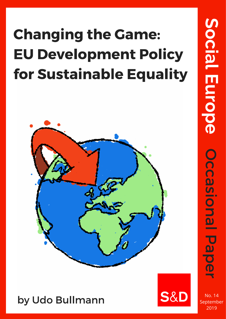# **Changing the Game: EU Development Policy** for Sustainable Equality



# by Udo Bullmann

**S&L** 

No. 14 **September** 2019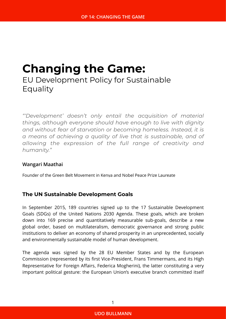# **Changing the Game:**  EU Development Policy for Sustainable Equality

*"'Development' doesn't only entail the acquisition of material things, although everyone should have enough to live with dignity*  and without fear of starvation or becoming homeless. Instead, it is *a means of achieving a quality of live that is sustainable, and of allowing the expression of the full range of creativity and humanity."* 

#### **Wangari Maathai**

Founder of the Green Belt Movement in Kenya and Nobel Peace Prize Laureate

#### **The UN Sustainable Development Goals**

In September 2015, 189 countries signed up to the 17 Sustainable Development Goals (SDGs) of the United Nations 2030 Agenda. These goals, which are broken down into 169 precise and quantitatively measurable sub-goals, describe a new global order, based on multilateralism, democratic governance and strong public institutions to deliver an economy of shared prosperity in an unprecedented, socially and environmentally sustainable model of human development.

The agenda was signed by the 28 EU Member States and by the European Commission (represented by its first Vice-President, Frans Timmermans, and its High Representative for Foreign Affairs, Federica Mogherini), the latter constituting a very important political gesture: the European Union's executive branch committed itself

1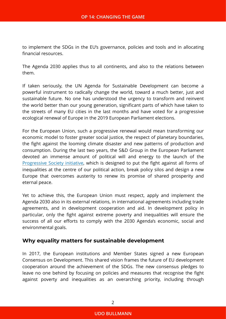to implement the SDGs in the EU's governance, policies and tools and in allocating financial resources.

The Agenda 2030 applies thus to all continents, and also to the relations between them.

If taken seriously, the UN Agenda for Sustainable Development can become a powerful instrument to radically change the world, toward a much better, just and sustainable future. No one has understood the urgency to transform and reinvent the world better than our young generation, significant parts of which have taken to the streets of many EU cities in the last months and have voted for a progressive ecological renewal of Europe in the 2019 European Parliament elections.

For the European Union, such a progressive renewal would mean transforming our economic model to foster greater social justice, the respect of planetary boundaries, the fight against the looming climate disaster and new patterns of production and consumption. During the last two years, the S&D Group in the European Parliament devoted an immense amount of political will and energy to the launch of the [Progressive Society initiative](https://www.progressivesociety.eu/), which is designed to put the fight against all forms of inequalities at the centre of our political action, break policy silos and design a new Europe that overcomes austerity to renew its promise of shared prosperity and eternal peace.

Yet to achieve this, the European Union must respect, apply and implement the Agenda 2030 also in its external relations, in international agreements including trade agreements, and in development cooperation and aid. In development policy in particular, only the fight against extreme poverty and inequalities will ensure the success of all our efforts to comply with the 2030 Agenda's economic, social and environmental goals.

#### **Why equality matters for sustainable development**

In 2017, the European institutions and Member States signed a new European Consensus on Development. This shared vision frames the future of EU development cooperation around the achievement of the SDGs. The new consensus pledges to leave no one behind by focusing on policies and measures that recognise the fight against poverty and inequalities as an overarching priority, including through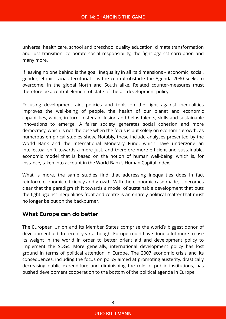universal health care, school and preschool quality education, climate transformation and just transition, corporate social responsibility, the fight against corruption and many more.

If leaving no one behind is the goal, inequality in all its dimensions – economic, social, gender, ethnic, racial, territorial – is the central obstacle the Agenda 2030 seeks to overcome, in the global North and South alike. Related counter-measures must therefore be a central element of state-of-the-art development policy.

Focusing development aid, policies and tools on the fight against inequalities improves the well-being of people, the health of our planet and economic capabilities, which, in turn, fosters inclusion and helps talents, skills and sustainable innovations to emerge. A fairer society generates social cohesion and more democracy, which is not the case when the focus is put solely on economic growth, as numerous empirical studies show. Notably, these include analyses presented by the World Bank and the International Monetary Fund, which have undergone an intellectual shift towards a more just, and therefore more efficient and sustainable, economic model that is based on the notion of human well-being, which is, for instance, taken into account in the World Bank's Human Capital Index.

What is more, the same studies find that addressing inequalities does in fact reinforce economic efficiency and growth. With the economic case made, it becomes clear that the paradigm shift towards a model of sustainable development that puts the fight against inequalities front and centre is an entirely political matter that must no longer be put on the backburner.

#### **What Europe can do better**

The European Union and its Member States comprise the world's biggest donor of development aid. In recent years, though, Europe could have done a lot more to use its weight in the world in order to better orient aid and development policy to implement the SDGs. More generally, international development policy has lost ground in terms of political attention in Europe. The 2007 economic crisis and its consequences, including the focus on policy aimed at promoting austerity, drastically decreasing public expenditure and diminishing the role of public institutions, has pushed development cooperation to the bottom of the political agenda in Europe.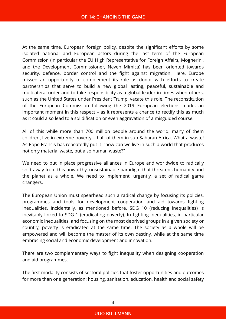At the same time, European foreign policy, despite the significant efforts by some isolated national and European actors during the last term of the European Commission (in particular the EU High Representative for Foreign Affairs, Mogherini, and the Development Commissioner, Neven Mimica) has been oriented towards security, defence, border control and the fight against migration. Here, Europe missed an opportunity to complement its role as donor with efforts to create partnerships that serve to build a new global lasting, peaceful, sustainable and multilateral order and to take responsibility as a global leader in times when others, such as the United States under President Trump, vacate this role. The reconstitution of the European Commission following the 2019 European elections marks an important moment in this respect – as it represents a chance to rectify this as much as it could also lead to a solidification or even aggravation of a misguided course.

All of this while more than 700 million people around the world, many of them children, live in extreme poverty – half of them in sub-Saharan Africa. What a waste! As Pope Francis has repeatedly put it. "how can we live in such a world that produces not only material waste, but also human waste?"

We need to put in place progressive alliances in Europe and worldwide to radically shift away from this unworthy, unsustainable paradigm that threatens humanity and the planet as a whole. We need to implement, urgently, a set of radical game changers.

The European Union must spearhead such a radical change by focusing its policies, programmes and tools for development cooperation and aid towards fighting inequalities. Incidentally, as mentioned before, SDG 10 (reducing inequalities) is inevitably linked to SDG 1 (eradicating poverty). In fighting inequalities, in particular economic inequalities, and focusing on the most deprived groups in a given society or country, poverty is eradicated at the same time. The society as a whole will be empowered and will become the master of its own destiny, while at the same time embracing social and economic development and innovation.

There are two complementary ways to fight inequality when designing cooperation and aid programmes.

The first modality consists of sectoral policies that foster opportunities and outcomes for more than one generation: housing, sanitation, education, health and social safety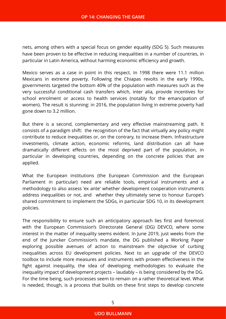nets, among others with a special focus on gender equality (SDG 5). Such measures have been proven to be effective in reducing inequalities in a number of countries, in particular in Latin America, without harming economic efficiency and growth.

Mexico serves as a case in point in this respect. In 1998 there were 11.1 million Mexicans in extreme poverty. Following the Chiapas revolts in the early 1990s, governments targeted the bottom 40% of the population with measures such as the very successful conditional cash transfers which, inter alia, provide incentives for school enrolment or access to health services (notably for the emancipation of women). The result is stunning: in 2016, the population living in extreme poverty had gone down to 3.2 million.

But there is a second, complementary and very effective mainstreaming path. It consists of a paradigm shift: the recognition of the fact that virtually any policy might contribute to reduce inequalities or, on the contrary, to increase them. Infrastructure investments, climate action, economic reforms, land distribution can all have dramatically different effects on the most deprived part of the population, in particular in developing countries, depending on the concrete policies that are applied.

What the European institutions (the European Commission and the European Parliament in particular) need are reliable tools, empirical instruments and a methodology to also assess 'ex ante' whether development cooperation instruments address inequalities or not, and whether they ultimately serve to honour Europe's shared commitment to implement the SDGs, in particular SDG 10, in its development policies.

The responsibility to ensure such an anticipatory approach lies first and foremost with the European Commission's Directorate General (DG) DEVCO, where some interest in the matter of inequality seems evident. In June 2019, just weeks from the end of the Juncker Commission's mandate, the DG published a Working Paper exploring possible avenues of action to mainstream the objective of curbing inequalities across EU development policies. Next to an upgrade of the DEVCO toolbox to include more measures and instruments with proven effectiveness in the fight against inequality, the idea of developing methodologies to evaluate the inequality impact of development projects – laudably – is being considered by the DG. For the time being, such processes seem to remain on a rather theoretical level. What is needed, though, is a process that builds on these first steps to develop concrete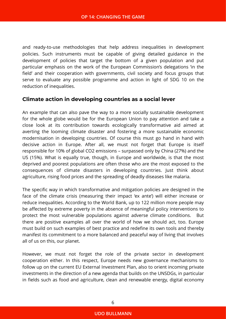and ready-to-use methodologies that help address inequalities in development policies. Such instruments must be capable of giving detailed guidance in the development of policies that target the bottom of a given population and put particular emphasis on the work of the European Commission's delegations 'in the field' and their cooperation with governments, civil society and focus groups that serve to evaluate any possible programme and action in light of SDG 10 on the reduction of inequalities.

#### **Climate action in developing countries as a social lever**

An example that can also pave the way to a more socially sustainable development for the whole globe would be for the European Union to pay attention and take a close look at its contribution towards ecologically transformative aid aimed at averting the looming climate disaster and fostering a more sustainable economic modernisation in developing countries. Of course this must go hand in hand with decisive action in Europe. After all, we must not forget that Europe is itself responsible for 10% of global CO2 emissions – surpassed only by China (27%) and the US (15%). What is equally true, though, in Europe and worldwide, is that the most deprived and poorest populations are often those who are the most exposed to the consequences of climate disasters in developing countries. Just think about agriculture, rising food prices and the spreading of deadly diseases like malaria.

The specific way in which transformative and mitigation policies are designed in the face of the climate crisis (measuring their impact 'ex ante') will either increase or reduce inequalities. According to the World Bank, up to 122 million more people may be affected by extreme poverty in the absence of meaningful policy interventions to protect the most vulnerable populations against adverse climate conditions. But there are positive examples all over the world of how we should act, too. Europe must build on such examples of best practice and redefine its own tools and thereby manifest its commitment to a more balanced and peaceful way of living that involves all of us on this, our planet.

However, we must not forget the role of the private sector in development cooperation either. In this respect, Europe needs new governance mechanisms to follow up on the current EU External Investment Plan, also to orient incoming private investments in the direction of a new agenda that builds on the UNSDGs, in particular in fields such as food and agriculture, clean and renewable energy, digital economy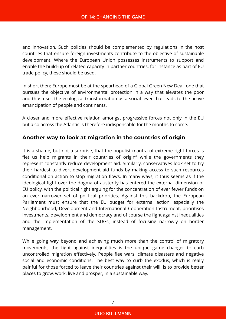and innovation. Such policies should be complemented by regulations in the host countries that ensure foreign investments contribute to the objective of sustainable development. Where the European Union possesses instruments to support and enable the build-up of related capacity in partner countries, for instance as part of EU trade policy, these should be used.

In short then: Europe must be at the spearhead of a Global Green New Deal, one that pursues the objective of environmental protection in a way that elevates the poor and thus uses the ecological transformation as a social lever that leads to the active emancipation of people and continents.

A closer and more effective relation amongst progressive forces not only in the EU but also across the Atlantic is therefore indispensable for the months to come.

#### **Another way to look at migration in the countries of origin**

It is a shame, but not a surprise, that the populist mantra of extreme right forces is "let us help migrants in their countries of origin" while the governments they represent constantly reduce development aid. Similarly, conservatives look set to try their hardest to divert development aid funds by making access to such resources conditional on action to stop migration flows. In many ways, it thus seems as if the ideological fight over the dogma of austerity has entered the external dimension of EU policy, with the political right arguing for the concentration of ever fewer funds on an ever narrower set of political priorities. Against this backdrop, the European Parliament must ensure that the EU budget for external action, especially the Neighbourhood, Development and International Cooperation Instrument, prioritises investments, development and democracy and of course the fight against inequalities and the implementation of the SDGs, instead of focusing narrowly on border management.

While going way beyond and achieving much more than the control of migratory movements, the fight against inequalities is the unique game changer to curb uncontrolled migration effectively. People flee wars, climate disasters and negative social and economic conditions. The best way to curb the exodus, which is really painful for those forced to leave their countries against their will, is to provide better places to grow, work, live and prosper, in a sustainable way.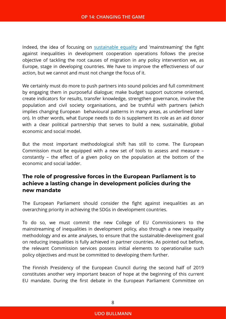Indeed, the idea of focusing on [sustainable equality](https://www.progressivesociety.eu/publication/report-independent-commission-sustainable-equality-2019-2024) and 'mainstreaming' the fight against inequalities in development cooperation operations follows the precise objective of tackling the root causes of migration in any policy intervention we, as Europe, stage in developing countries. We have to improve the effectiveness of our action, but we cannot and must not change the focus of it.

We certainly must do more to push partners into sound policies and full commitment by engaging them in purposeful dialogue; make budget support outcome oriented, create indicators for results, transfer knowledge, strengthen governance, involve the population and civil society organisations, and be truthful with partners (which implies changing European behavioural patterns in many areas, as underlined later on). In other words, what Europe needs to do is supplement its role as an aid donor with a clear political partnership that serves to build a new, sustainable, global economic and social model.

But the most important methodological shift has still to come. The European Commission must be equipped with a new set of tools to assess and measure – constantly – the effect of a given policy on the population at the bottom of the economic and social ladder.

# **The role of progressive forces in the European Parliament is to achieve a lasting change in development policies during the new mandate**

The European Parliament should consider the fight against inequalities as an overarching priority in achieving the SDGs in development countries.

To do so, we must commit the new College of EU Commissioners to the mainstreaming of inequalities in development policy, also through a new inequality methodology and ex ante analyses, to ensure that the sustainable-development goal on reducing inequalities is fully achieved in partner countries. As pointed out before, the relevant Commission services possess initial elements to operationalise such policy objectives and must be committed to developing them further.

The Finnish Presidency of the European Council during the second half of 2019 constitutes another very important beacon of hope at the beginning of this current EU mandate. During the first debate in the European Parliament Committee on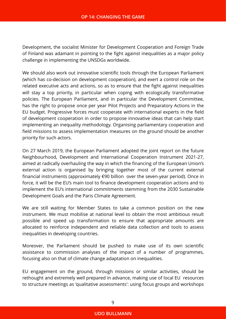Development, the socialist Minister for Development Cooperation and Foreign Trade of Finland was adamant in pointing to the fight against inequalities as a major policy challenge in implementing the UNSDGs worldwide.

We should also work out innovative scientific tools through the European Parliament (which has co-decision on development cooperation), and exert a control role on the related executive acts and actions, so as to ensure that the fight against inequalities will stay a top priority, in particular when coping with ecologically transformative policies. The European Parliament, and in particular the Development Committee, has the right to propose once per year Pilot Projects and Preparatory Actions in the EU budget. Progressive forces must cooperate with international experts in the field of development cooperation in order to propose innovative ideas that can help start implementing an inequality methodology. Organising parliamentary cooperation and field missions to assess implementation measures on the ground should be another priority for such actors.

On 27 March 2019, the European Parliament adopted the joint report on the future Neighbourhood, Development and International Cooperation Instrument 2021-27, aimed at radically overhauling the way in which the financing of the European Union's external action is organised by bringing together most of the current external financial instruments (approximately €90 billion over the seven-year period). Once in force, it will be the EU's main tool to finance development cooperation actions and to implement the EU's international commitments stemming from the 2030 Sustainable Development Goals and the Paris Climate Agreement.

We are still waiting for Member States to take a common position on the new instrument. We must mobilise at national level to obtain the most ambitious result possible and speed up transformation to ensure that appropriate amounts are allocated to reinforce independent and reliable data collection and tools to assess inequalities in developing countries.

Moreover, the Parliament should be pushed to make use of its own scientific assistance to commission analyses of the impact of a number of programmes, focusing also on that of climate change adaptation on inequalities.

EU engagement on the ground, through missions or similar activities, should be rethought and extremely well prepared in advance, making use of local EU resources to structure meetings as 'qualitative assessments': using focus groups and workshops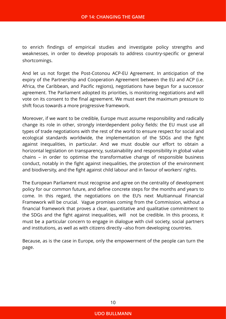to enrich findings of empirical studies and investigate policy strengths and weaknesses, in order to develop proposals to address country-specific or general shortcomings.

And let us not forget the Post-Cotonou ACP-EU Agreement. In anticipation of the expiry of the Partnership and Cooperation Agreement between the EU and ACP (i.e. Africa, the Caribbean, and Pacific regions), negotiations have begun for a successor agreement. The Parliament adopted its priorities, is monitoring negotiations and will vote on its consent to the final agreement. We must exert the maximum pressure to shift focus towards a more progressive framework.

Moreover, if we want to be credible, Europe must assume responsibility and radically change its role in other, strongly interdependent policy fields: the EU must use all types of trade negotiations with the rest of the world to ensure respect for social and ecological standards worldwide, the implementation of the SDGs and the fight against inequalities, in particular. And we must double our effort to obtain a horizontal legislation on transparency, sustainability and responsibility in global value chains – in order to optimise the transformative change of responsible business conduct, notably in the fight against inequalities, the protection of the environment and biodiversity, and the fight against child labour and in favour of workers' rights.

The European Parliament must recognise and agree on the centrality of development policy for our common future, and define concrete steps for the months and years to come. In this regard, the negotiations on the EU's next Multiannual Financial Framework will be crucial. Vague promises coming from the Commission, without a financial framework that proves a clear, quantitative and qualitative commitment to the SDGs and the fight against inequalities, will not be credible. In this process, it must be a particular concern to engage in dialogue with civil society, social partners and institutions, as well as with citizens directly –also from developing countries.

Because, as is the case in Europe, only the empowerment of the people can turn the page.